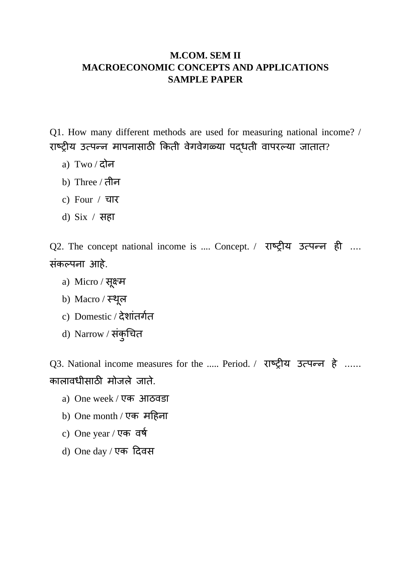## **M.COM. SEM II MACROECONOMIC CONCEPTS AND APPLICATIONS SAMPLE PAPER**

Q1. How many different methods are used for measuring national income? / राष्ट्रीय उत्पन्न मापनासाठी किती वेगवेगळ्या पद्धती वापरल्या जातात?

- a)  $Two / \overline{char}$
- b) Three / तीन
- c) Four / चार
- d) Six / सहा

Q2. The concept national income is .... Concept. / राष्ट्रीय उत्पन्न ही .... संकल्पना आहे.

- a) Micro / सूक्ष्म
- b) Macro ⁄ स्थूल
- c) Domestic / देशांतगगत
- d) Narrow / संकुचित

Q3. National income measures for the ..... Period. / राष्ट्रीय उत्पन्न हे ...... िालावधीसाठी मोजले जाते.

- a) One week / एक आठवड़ा
- b) One month / एक महिना
- c) One year / एक वर्ष
- d) One day / एक दिवस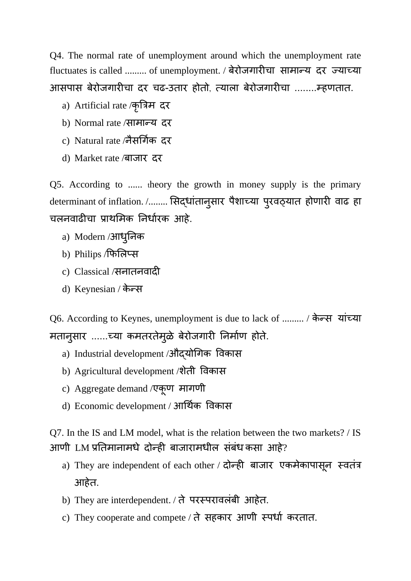Q4. The normal rate of unemployment around which the unemployment rate fluctuates is called ......... of unemployment. / बेरोजगारीचा सामान्य दर ज्याच्या आसपास बेरोजगारीचा दर चढ-उतार होतो, त्याला बेरोजगारीचा ........म्हणतात.

- a) Artificial rate ⁄कृत्रिम दर
- b) Normal rate /सामान्य दर
- c) Natural rate /नैसर्गिक दर
- d) Market rate /बाजार दर

Q5. According to ...... theory the growth in money supply is the primary determinant of inflation. /........ सिद्धांतानुसार पैशाच्या पुरवठ्यात होणारी वाढ हा चलनवाढीचा प्राथमिक निर्धारक आहे.

- a) Modern /आधुनिक
- b) Philips /फिलिप्स
- c) Classical /सनातनवादी
- d) Keynesian / केन्स

Q6. According to Keynes, unemployment is due to lack of ......... / िे न्स यांच्या मतानुसार ......च्या कमतरतेमुळे बेरोजगारी निर्माण होते.

- a) Industrial development /औद्योगिक विकास
- b) Agricultural development /शेती विकास
- c) Aggregate demand /एि ू ण मागणी
- d) Economic development / आर्थिक विकास

Q7. In the IS and LM model, what is the relation between the two markets? / IS आणी LM प्रतिमानामधे दोन्ही बाजारामधील संबंध कसा आहे?

- a) They are independent of each other / दोन्ही बाजार एकमेकापासून स्वतंत्र आहेत.
- b) They are interdependent. / ते परस्परावलंबी आहेत.
- c) They cooperate and compete / ते सहकार आणी स्पर्धा करतात.